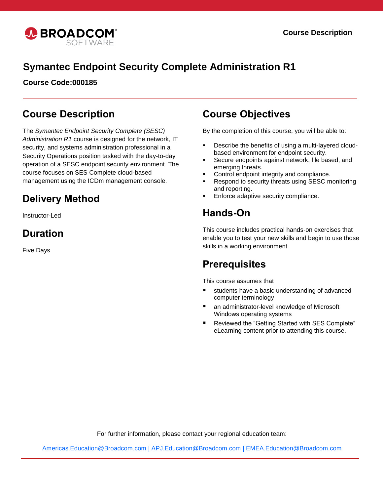

# **Symantec Endpoint Security Complete Administration R1**

**Course Code:000185**

### **Course Description**

The *Symantec Endpoint Security Complete (SESC) Administration R1* course is designed for the network, IT security, and systems administration professional in a Security Operations position tasked with the day-to-day operation of a SESC endpoint security environment. The course focuses on SES Complete cloud-based management using the ICDm management console.

# **Delivery Method**

Instructor-Led

## **Duration**

Five Days

### **Course Objectives**

By the completion of this course, you will be able to:

- Describe the benefits of using a multi-layered cloudbased environment for endpoint security.
- **Secure endpoints against network, file based, and** emerging threats.
- Control endpoint integrity and compliance.
- Respond to security threats using SESC monitoring and reporting.
- Enforce adaptive security compliance.

### **Hands-On**

This course includes practical hands-on exercises that enable you to test your new skills and begin to use those skills in a working environment.

### **Prerequisites**

This course assumes that

- students have a basic understanding of advanced computer terminology
- an administrator-level knowledge of Microsoft Windows operating systems
- Reviewed the "Getting Started with SES Complete" eLearning content prior to attending this course.

For further information, please contact your regional education team:

[Americas.Education@Broadcom.com](mailto:Americas.Education@Broadcom.com) | [APJ.Education@Broadcom.com](mailto:APJ.Education@Broadcom.com) | [EMEA.Education@Broadcom.com](mailto:EMEA.Education@Broadcom.com)